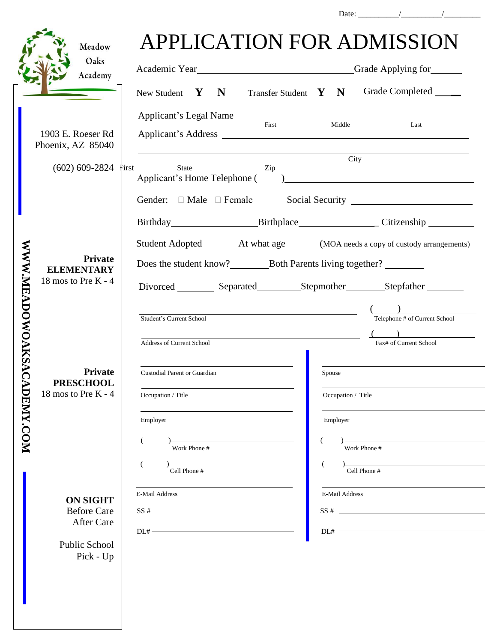|                  | Meadow<br>Oaks                                                                                                     | APPLICATION FOR ADMISSION                                                                                                                                                                                                                                                                                                                                                                                                                                           |
|------------------|--------------------------------------------------------------------------------------------------------------------|---------------------------------------------------------------------------------------------------------------------------------------------------------------------------------------------------------------------------------------------------------------------------------------------------------------------------------------------------------------------------------------------------------------------------------------------------------------------|
|                  | Academy                                                                                                            | Grade Completed ____<br>New Student $Y \times N$<br>Transfer Student $Y \ N$                                                                                                                                                                                                                                                                                                                                                                                        |
|                  | 1903 E. Roeser Rd<br>Phoenix, AZ 85040<br>$(602) 609 - 2824$                                                       | Applicant's Legal Name First Middle<br>Last                                                                                                                                                                                                                                                                                                                                                                                                                         |
|                  |                                                                                                                    | City<br><b>First</b><br>State<br>Zip<br>Applicant's Home Telephone (<br>$\begin{picture}(150,10) \put(0,0){\dashbox{0.5}(10,0){ }} \put(15,0){\circle{10}} \put(15,0){\circle{10}} \put(15,0){\circle{10}} \put(15,0){\circle{10}} \put(15,0){\circle{10}} \put(15,0){\circle{10}} \put(15,0){\circle{10}} \put(15,0){\circle{10}} \put(15,0){\circle{10}} \put(15,0){\circle{10}} \put(15,0){\circle{10}} \put(15,0){\circle{10}} \put(15,0){\circle{10}} \put(15$ |
|                  |                                                                                                                    | Birthday Birthplace Citizenship                                                                                                                                                                                                                                                                                                                                                                                                                                     |
| WWW.MEADOWOAKSAC | <b>Private</b><br><b>ELEMENTARY</b><br>18 mos to Pre $K - 4$<br>Private<br><b>PRESCHOOL</b><br>18 mos to Pre K - 4 | Does the student know? Both Parents living together?<br>Divorced Separated Stepmother Stepfather                                                                                                                                                                                                                                                                                                                                                                    |
|                  |                                                                                                                    | Telephone # of Current School<br>Student's Current School<br>Address of Current School<br>Fax# of Current School                                                                                                                                                                                                                                                                                                                                                    |
|                  |                                                                                                                    | Custodial Parent or Guardian<br>Spouse<br>Occupation / Title<br>Occupation / Title                                                                                                                                                                                                                                                                                                                                                                                  |
| DENY.COM         |                                                                                                                    | Employer<br>Employer<br>$\overline{C}$<br>Work Phone #<br>Work Phone #                                                                                                                                                                                                                                                                                                                                                                                              |
|                  | <b>ON SIGHT</b><br><b>Before Care</b><br>After Care<br>Public School<br>Pick - Up                                  | Cell Phone #<br>Cell Phone #<br>E-Mail Address<br>E-Mail Address<br>$DL# \xrightarrow{\qquad \qquad }$<br>DL#                                                                                                                                                                                                                                                                                                                                                       |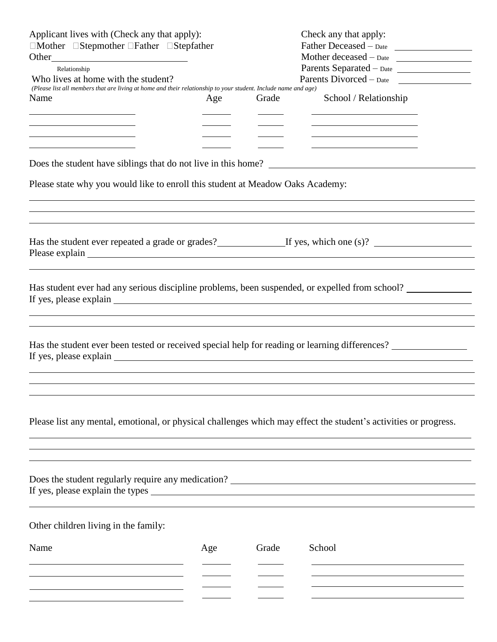| Applicant lives with (Check any that apply):<br>$\Box$ Mother $\Box$ Stepmother $\Box$ Father $\Box$ Stepfather                                          |     |       | Check any that apply:<br>Father Deceased - Date                                                                      |  |  |  |  |
|----------------------------------------------------------------------------------------------------------------------------------------------------------|-----|-------|----------------------------------------------------------------------------------------------------------------------|--|--|--|--|
|                                                                                                                                                          |     |       | Mother deceased $-\text{Date}$                                                                                       |  |  |  |  |
| Relationship                                                                                                                                             |     |       | Parents Separated - Date                                                                                             |  |  |  |  |
| Who lives at home with the student?<br>(Please list all members that are living at home and their relationship to your student. Include name and age)    |     |       | Parents Divorced - Date                                                                                              |  |  |  |  |
| Name                                                                                                                                                     | Age | Grade | School / Relationship                                                                                                |  |  |  |  |
|                                                                                                                                                          |     |       |                                                                                                                      |  |  |  |  |
|                                                                                                                                                          |     |       |                                                                                                                      |  |  |  |  |
| the control of the control of the control of the control of the control of<br>the control of the control of the control of the control of the control of |     |       | <u> 1989 - Johann Stein, mars an deutscher Stein und der Stein und der Stein und der Stein und der Stein und der</u> |  |  |  |  |
|                                                                                                                                                          |     |       |                                                                                                                      |  |  |  |  |
| Please state why you would like to enroll this student at Meadow Oaks Academy:                                                                           |     |       |                                                                                                                      |  |  |  |  |
|                                                                                                                                                          |     |       |                                                                                                                      |  |  |  |  |
| Has the student ever repeated a grade or grades? If yes, which one (s)?                                                                                  |     |       |                                                                                                                      |  |  |  |  |
| Has student ever had any serious discipline problems, been suspended, or expelled from school?                                                           |     |       |                                                                                                                      |  |  |  |  |
| Has the student ever been tested or received special help for reading or learning differences?                                                           |     |       |                                                                                                                      |  |  |  |  |
| Please list any mental, emotional, or physical challenges which may effect the student's activities or progress.                                         |     |       |                                                                                                                      |  |  |  |  |
| Does the student regularly require any medication?<br><u>Letter and the student regularly</u> require any medication?                                    |     |       |                                                                                                                      |  |  |  |  |
| Other children living in the family:                                                                                                                     |     |       |                                                                                                                      |  |  |  |  |
| Name                                                                                                                                                     | Age | Grade | School                                                                                                               |  |  |  |  |
| the control of the control of the control of the control of the control of the control of                                                                |     |       |                                                                                                                      |  |  |  |  |
|                                                                                                                                                          |     |       | the control of the control of the control of the control of the control of the control of                            |  |  |  |  |
|                                                                                                                                                          |     |       |                                                                                                                      |  |  |  |  |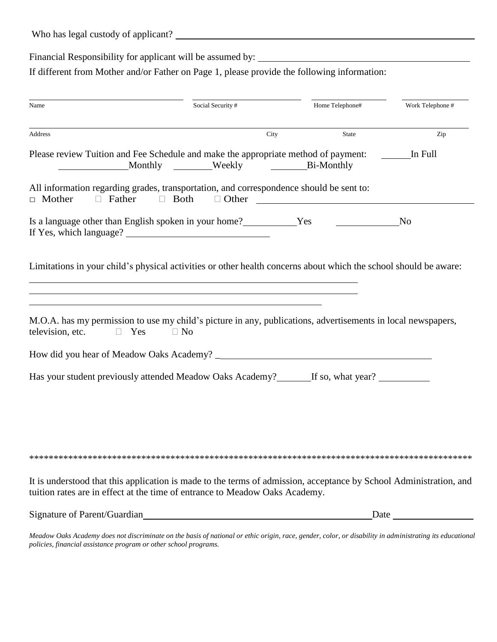| Who has legal custody of applicant? |  |  |
|-------------------------------------|--|--|
|-------------------------------------|--|--|

Financial Responsibility for applicant will be assumed by: \_\_\_\_\_\_\_\_\_\_\_\_\_\_\_\_\_\_\_\_\_\_

If different from Mother and/or Father on Page 1, please provide the following information:

| Name                                                                                                                                                                                                                                                                                                                          | Social Security # |      | Home Telephone# | Work Telephone #       |
|-------------------------------------------------------------------------------------------------------------------------------------------------------------------------------------------------------------------------------------------------------------------------------------------------------------------------------|-------------------|------|-----------------|------------------------|
| Address                                                                                                                                                                                                                                                                                                                       |                   | City | <b>State</b>    | Zip                    |
| Please review Tuition and Fee Schedule and make the appropriate method of payment:<br>Monthly Weekly Bi-Monthly                                                                                                                                                                                                               |                   |      |                 | In Full                |
| All information regarding grades, transportation, and correspondence should be sent to:<br>$\Box$ Mother<br>$\Box$ Father<br>$\Box$ Both                                                                                                                                                                                      |                   |      | $\Box$ Other    |                        |
| Is a language other than English spoken in your home? Ves                                                                                                                                                                                                                                                                     |                   |      |                 | No                     |
| Limitations in your child's physical activities or other health concerns about which the school should be aware:<br><u> 1989 - Johann Stoff, deutscher Stoff, der Stoff, der Stoff, der Stoff, der Stoff, der Stoff, der Stoff, der S</u><br>,我们也不会有一个人的人,我们也不会有一个人的人,我们也不会有一个人的人。""我们,我们也不会有一个人的人,我们也不会有一个人的人。""我们,我们也不会有一个人 |                   |      |                 |                        |
| <u> 1989 - Johann Stoff, Amerikaansk politiker (* 1908)</u><br>M.O.A. has my permission to use my child's picture in any, publications, advertisements in local newspapers,<br>television, etc.<br>$\Box$ Yes<br>$\Box$ No                                                                                                    |                   |      |                 |                        |
|                                                                                                                                                                                                                                                                                                                               |                   |      |                 |                        |
| Has your student previously attended Meadow Oaks Academy? If so, what year?                                                                                                                                                                                                                                                   |                   |      |                 |                        |
|                                                                                                                                                                                                                                                                                                                               |                   |      |                 |                        |
|                                                                                                                                                                                                                                                                                                                               |                   |      |                 |                        |
| It is understood that this application is made to the terms of admission, acceptance by School Administration, and<br>tuition rates are in effect at the time of entrance to Meadow Oaks Academy.                                                                                                                             |                   |      |                 |                        |
| Signature of Parent/Guardian                                                                                                                                                                                                                                                                                                  |                   |      |                 | $\Gamma$ Date $\Gamma$ |

Meadow Oaks Academy does not discriminate on the basis of national or ethic origin, race, gender, color, or disability in administrating its educational policies, financial assistance program or other school programs.